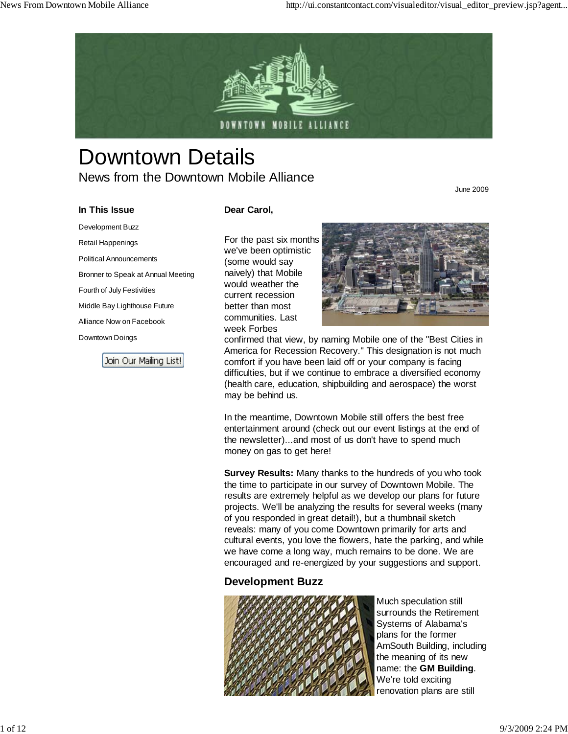

# Downtown Details News from the Downtown Mobile Alliance

June 2009

# **In This Issue** Development Buzz

Retail Happenings Political Announcements

Fourth of July Festivities Middle Bay Lighthouse Future Alliance Now on Facebook

Downtown Doings

Bronner to Speak at Annual Meeting

Join Our Mailing List!

## **Dear Carol,**

For the past six months we've been optimistic (some would say naively) that Mobile would weather the current recession better than most communities. Last week Forbes



confirmed that view, by naming Mobile one of the "Best Cities in America for Recession Recovery." This designation is not much comfort if you have been laid off or your company is facing difficulties, but if we continue to embrace a diversified economy (health care, education, shipbuilding and aerospace) the worst may be behind us.

In the meantime, Downtown Mobile still offers the best free entertainment around (check out our event listings at the end of the newsletter)...and most of us don't have to spend much money on gas to get here!

**Survey Results:** Many thanks to the hundreds of you who took the time to participate in our survey of Downtown Mobile. The results are extremely helpful as we develop our plans for future projects. We'll be analyzing the results for several weeks (many of you responded in great detail!), but a thumbnail sketch reveals: many of you come Downtown primarily for arts and cultural events, you love the flowers, hate the parking, and while we have come a long way, much remains to be done. We are encouraged and re-energized by your suggestions and support.

# **Development Buzz**



Much speculation still surrounds the Retirement Systems of Alabama's plans for the former AmSouth Building, including the meaning of its new name: the **GM Building**. We're told exciting renovation plans are still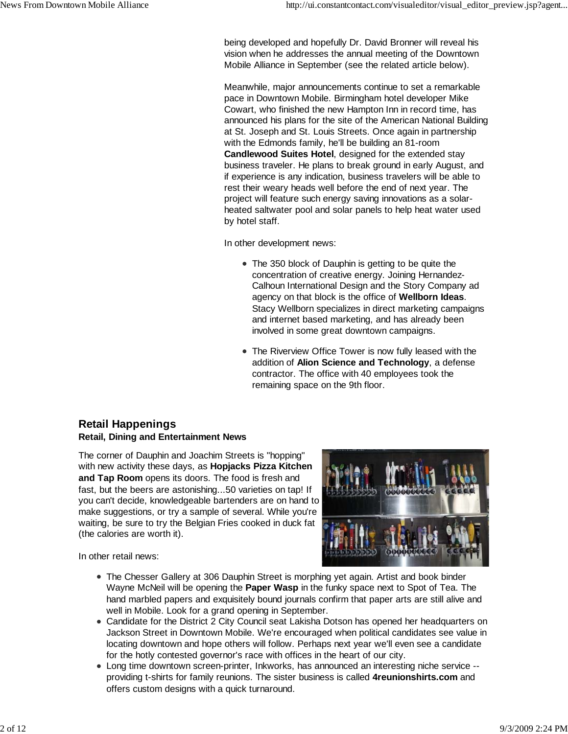being developed and hopefully Dr. David Bronner will reveal his vision when he addresses the annual meeting of the Downtown Mobile Alliance in September (see the related article below).

Meanwhile, major announcements continue to set a remarkable pace in Downtown Mobile. Birmingham hotel developer Mike Cowart, who finished the new Hampton Inn in record time, has announced his plans for the site of the American National Building at St. Joseph and St. Louis Streets. Once again in partnership with the Edmonds family, he'll be building an 81-room **Candlewood Suites Hotel**, designed for the extended stay business traveler. He plans to break ground in early August, and if experience is any indication, business travelers will be able to rest their weary heads well before the end of next year. The project will feature such energy saving innovations as a solarheated saltwater pool and solar panels to help heat water used by hotel staff.

In other development news:

- The 350 block of Dauphin is getting to be quite the concentration of creative energy. Joining Hernandez-Calhoun International Design and the Story Company ad agency on that block is the office of **Wellborn Ideas**. Stacy Wellborn specializes in direct marketing campaigns and internet based marketing, and has already been involved in some great downtown campaigns.
- The Riverview Office Tower is now fully leased with the addition of **Alion Science and Technology**, a defense contractor. The office with 40 employees took the remaining space on the 9th floor.

## **Retail Happenings Retail, Dining and Entertainment News**

The corner of Dauphin and Joachim Streets is "hopping" with new activity these days, as **Hopjacks Pizza Kitchen and Tap Room** opens its doors. The food is fresh and fast, but the beers are astonishing...50 varieties on tap! If you can't decide, knowledgeable bartenders are on hand to make suggestions, or try a sample of several. While you're waiting, be sure to try the Belgian Fries cooked in duck fat (the calories are worth it).



In other retail news:

- The Chesser Gallery at 306 Dauphin Street is morphing yet again. Artist and book binder Wayne McNeil will be opening the **Paper Wasp** in the funky space next to Spot of Tea. The hand marbled papers and exquisitely bound journals confirm that paper arts are still alive and well in Mobile. Look for a grand opening in September.
- Candidate for the District 2 City Council seat Lakisha Dotson has opened her headquarters on Jackson Street in Downtown Mobile. We're encouraged when political candidates see value in locating downtown and hope others will follow. Perhaps next year we'll even see a candidate for the hotly contested governor's race with offices in the heart of our city.
- Long time downtown screen-printer, Inkworks, has announced an interesting niche service providing t-shirts for family reunions. The sister business is called **4reunionshirts.com** and offers custom designs with a quick turnaround.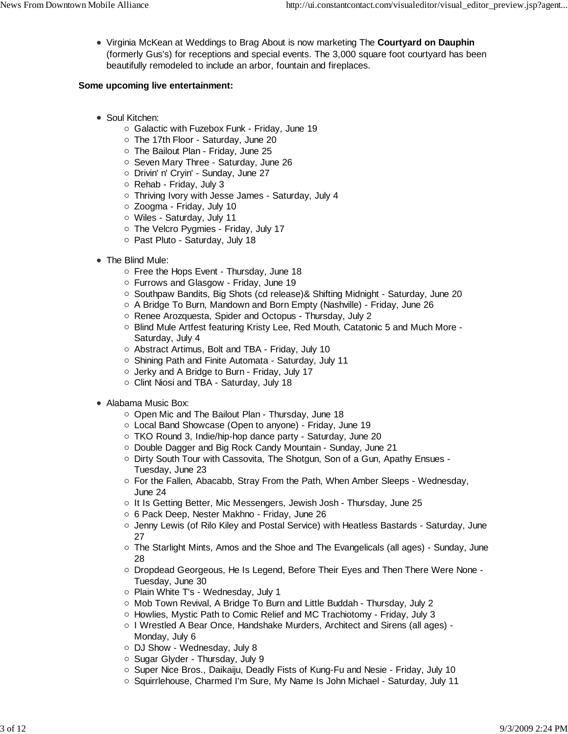Virginia McKean at Weddings to Brag About is now marketing The **Courtyard on Dauphin** (formerly Gus's) for receptions and special events. The 3,000 square foot courtyard has been beautifully remodeled to include an arbor, fountain and fireplaces.

## **Some upcoming live entertainment:**

- Soul Kitchen:
	- $\circ$  Galactic with Fuzebox Funk Friday, June 19
	- The 17th Floor Saturday, June 20
	- $\circ$  The Bailout Plan Friday, June 25
	- o Seven Mary Three Saturday, June 26
	- Drivin' n' Cryin' Sunday, June 27
	- $\circ$  Rehab Friday, July 3
	- Thriving Ivory with Jesse James Saturday, July 4
	- Zoogma Friday, July 10
	- Wiles Saturday, July 11
	- o The Velcro Pygmies Friday, July 17
	- o Past Pluto Saturday, July 18
- The Blind Mule:
	- Free the Hops Event Thursday, June 18
	- Furrows and Glasgow Friday, June 19
	- $\circ$  Southpaw Bandits, Big Shots (cd release) & Shifting Midnight Saturday, June 20
	- A Bridge To Burn, Mandown and Born Empty (Nashville) Friday, June 26
	- Renee Arozquesta, Spider and Octopus Thursday, July 2
	- $\circ$  Blind Mule Artfest featuring Kristy Lee, Red Mouth, Catatonic 5 and Much More -Saturday, July 4
	- Abstract Artimus, Bolt and TBA Friday, July 10
	- o Shining Path and Finite Automata Saturday, July 11
	- Jerky and A Bridge to Burn Friday, July 17
	- Clint Niosi and TBA Saturday, July 18
- Alabama Music Box:
	- Open Mic and The Bailout Plan Thursday, June 18
	- Local Band Showcase (Open to anyone) Friday, June 19
	- TKO Round 3, Indie/hip-hop dance party Saturday, June 20
	- Double Dagger and Big Rock Candy Mountain Sunday, June 21
	- $\circ$  Dirty South Tour with Cassovita, The Shotgun, Son of a Gun, Apathy Ensues -Tuesday, June 23
	- $\circ$  For the Fallen, Abacabb, Stray From the Path, When Amber Sleeps Wednesday, June 24
	- $\circ$  It Is Getting Better, Mic Messengers, Jewish Josh Thursday, June 25
	- 6 Pack Deep, Nester Makhno Friday, June 26
	- $\circ$  Jenny Lewis (of Rilo Kiley and Postal Service) with Heatless Bastards Saturday, June 27
	- $\circ$  The Starlight Mints, Amos and the Shoe and The Evangelicals (all ages) Sunday, June 28
	- o Dropdead Georgeous, He Is Legend, Before Their Eyes and Then There Were None -Tuesday, June 30
	- o Plain White T's Wednesday, July 1
	- $\circ$  Mob Town Revival, A Bridge To Burn and Little Buddah Thursday, July 2
	- Howlies, Mystic Path to Comic Relief and MC Trachiotomy Friday, July 3
	- I Wrestled A Bear Once, Handshake Murders, Architect and Sirens (all ages) -Monday, July 6
	- DJ Show Wednesday, July 8
	- $\circ$  Sugar Glyder Thursday, July 9
	- Super Nice Bros., Daikaiju, Deadly Fists of Kung-Fu and Nesie Friday, July 10
	- Squirrlehouse, Charmed I'm Sure, My Name Is John Michael Saturday, July 11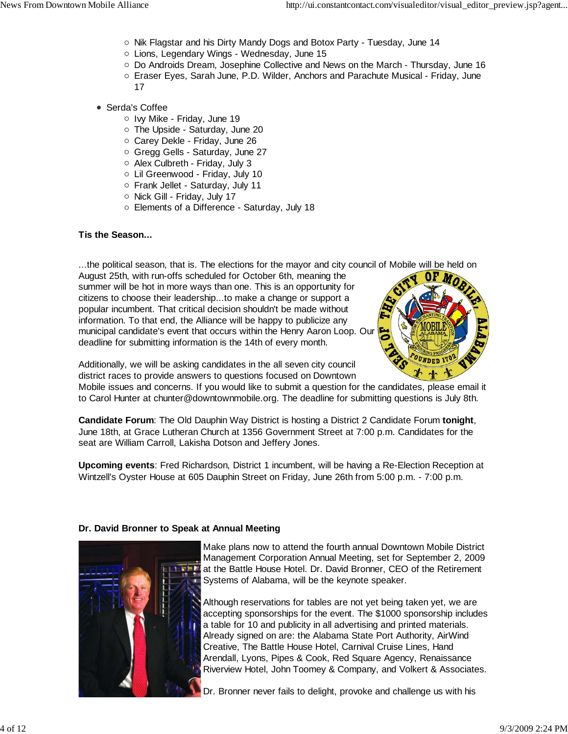- $\circ$  Nik Flagstar and his Dirty Mandy Dogs and Botox Party Tuesday, June 14
- Lions, Legendary Wings Wednesday, June 15
- $\circ$  Do Androids Dream, Josephine Collective and News on the March Thursday, June 16
- Eraser Eyes, Sarah June, P.D. Wilder, Anchors and Parachute Musical Friday, June 17
- Serda's Coffee
	- o Ivy Mike Friday, June 19
	- The Upside Saturday, June 20
	- Carey Dekle Friday, June 26
	- Gregg Gells Saturday, June 27
	- o Alex Culbreth Friday, July 3
	- Lil Greenwood Friday, July 10
	- Frank Jellet Saturday, July 11
	- $\circ$  Nick Gill Friday, July 17
	- Elements of a Difference Saturday, July 18

## **Tis the Season...**

...the political season, that is. The elections for the mayor and city council of Mobile will be held on

August 25th, with run-offs scheduled for October 6th, meaning the summer will be hot in more ways than one. This is an opportunity for citizens to choose their leadership...to make a change or support a popular incumbent. That critical decision shouldn't be made without information. To that end, the Alliance will be happy to publicize any municipal candidate's event that occurs within the Henry Aaron Loop. Our deadline for submitting information is the 14th of every month.



Additionally, we will be asking candidates in the all seven city council district races to provide answers to questions focused on Downtown

Mobile issues and concerns. If you would like to submit a question for the candidates, please email it to Carol Hunter at chunter@downtownmobile.org. The deadline for submitting questions is July 8th.

**Candidate Forum**: The Old Dauphin Way District is hosting a District 2 Candidate Forum **tonight**, June 18th, at Grace Lutheran Church at 1356 Government Street at 7:00 p.m. Candidates for the seat are William Carroll, Lakisha Dotson and Jeffery Jones.

**Upcoming events**: Fred Richardson, District 1 incumbent, will be having a Re-Election Reception at Wintzell's Oyster House at 605 Dauphin Street on Friday, June 26th from 5:00 p.m. - 7:00 p.m.

## **Dr. David Bronner to Speak at Annual Meeting**



Make plans now to attend the fourth annual Downtown Mobile District Management Corporation Annual Meeting, set for September 2, 2009 at the Battle House Hotel. Dr. David Bronner, CEO of the Retirement Systems of Alabama, will be the keynote speaker.

Although reservations for tables are not yet being taken yet, we are accepting sponsorships for the event. The \$1000 sponsorship includes a table for 10 and publicity in all advertising and printed materials. Already signed on are: the Alabama State Port Authority, AirWind Creative, The Battle House Hotel, Carnival Cruise Lines, Hand Arendall, Lyons, Pipes & Cook, Red Square Agency, Renaissance Riverview Hotel, John Toomey & Company, and Volkert & Associates.

Dr. Bronner never fails to delight, provoke and challenge us with his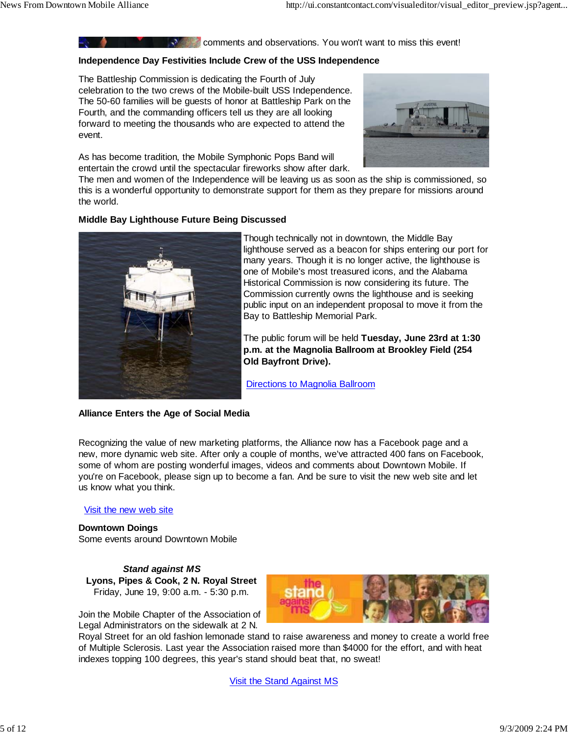**Comments and observations.** You won't want to miss this event!

#### **Independence Day Festivities Include Crew of the USS Independence**

The Battleship Commission is dedicating the Fourth of July celebration to the two crews of the Mobile-built USS Independence. The 50-60 families will be guests of honor at Battleship Park on the Fourth, and the commanding officers tell us they are all looking forward to meeting the thousands who are expected to attend the event.

As has become tradition, the Mobile Symphonic Pops Band will entertain the crowd until the spectacular fireworks show after dark.



The men and women of the Independence will be leaving us as soon as the ship is commissioned, so this is a wonderful opportunity to demonstrate support for them as they prepare for missions around the world.

#### **Middle Bay Lighthouse Future Being Discussed**



Though technically not in downtown, the Middle Bay lighthouse served as a beacon for ships entering our port for many years. Though it is no longer active, the lighthouse is one of Mobile's most treasured icons, and the Alabama Historical Commission is now considering its future. The Commission currently owns the lighthouse and is seeking public input on an independent proposal to move it from the Bay to Battleship Memorial Park.

The public forum will be held **Tuesday, June 23rd at 1:30 p.m. at the Magnolia Ballroom at Brookley Field (254 Old Bayfront Drive).**

Directions to Magnolia Ballroom

#### **Alliance Enters the Age of Social Media**

Recognizing the value of new marketing platforms, the Alliance now has a Facebook page and a new, more dynamic web site. After only a couple of months, we've attracted 400 fans on Facebook, some of whom are posting wonderful images, videos and comments about Downtown Mobile. If you're on Facebook, please sign up to become a fan. And be sure to visit the new web site and let us know what you think.

#### Visit the new web site

**Downtown Doings** Some events around Downtown Mobile

 *Stand against MS* **Lyons, Pipes & Cook, 2 N. Royal Street** Friday, June 19, 9:00 a.m. - 5:30 p.m.

Join the Mobile Chapter of the Association of Legal Administrators on the sidewalk at 2 N.



Royal Street for an old fashion lemonade stand to raise awareness and money to create a world free of Multiple Sclerosis. Last year the Association raised more than \$4000 for the effort, and with heat indexes topping 100 degrees, this year's stand should beat that, no sweat!

Visit the Stand Against MS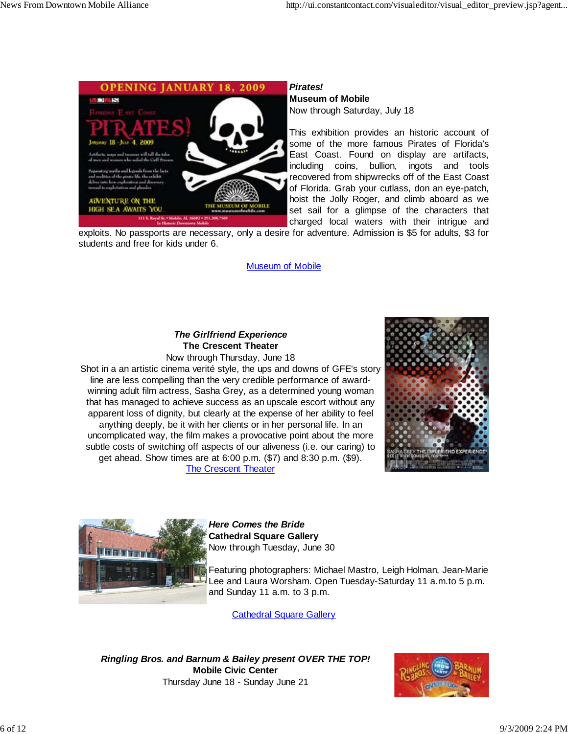

## *Pirates!*

**Museum of Mobile** Now through Saturday, July 18

This exhibition provides an historic account of some of the more famous Pirates of Florida's East Coast. Found on display are artifacts, including coins, bullion, ingots and tools recovered from shipwrecks off of the East Coast of Florida. Grab your cutlass, don an eye-patch, hoist the Jolly Roger, and climb aboard as we set sail for a glimpse of the characters that charged local waters with their intrigue and

exploits. No passports are necessary, only a desire for adventure. Admission is \$5 for adults, \$3 for students and free for kids under 6.

#### Museum of Mobile

# *The Girlfriend Experience* **The Crescent Theater**

Now through Thursday, June 18 Shot in a an artistic cinema verité style, the ups and downs of GFE's story line are less compelling than the very credible performance of awardwinning adult film actress, Sasha Grey, as a determined young woman that has managed to achieve success as an upscale escort without any apparent loss of dignity, but clearly at the expense of her ability to feel anything deeply, be it with her clients or in her personal life. In an uncomplicated way, the film makes a provocative point about the more subtle costs of switching off aspects of our aliveness (i.e. our caring) to get ahead. Show times are at 6:00 p.m. (\$7) and 8:30 p.m. (\$9). The Crescent Theater





*Here Comes the Bride* **Cathedral Square Gallery** Now through Tuesday, June 30

Featuring photographers: Michael Mastro, Leigh Holman, Jean-Marie Lee and Laura Worsham. Open Tuesday-Saturday 11 a.m.to 5 p.m. and Sunday 11 a.m. to 3 p.m.

Cathedral Square Gallery

*Ringling Bros. and Barnum & Bailey present OVER THE TOP!* **Mobile Civic Center** Thursday June 18 - Sunday June 21

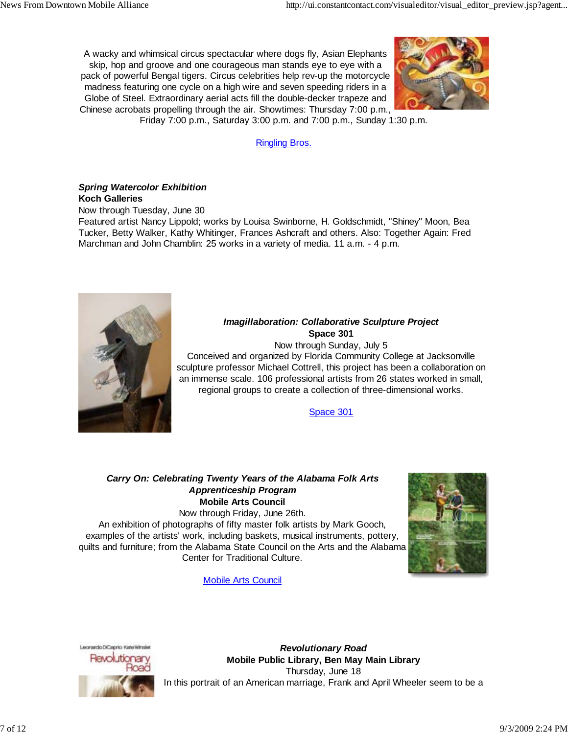A wacky and whimsical circus spectacular where dogs fly, Asian Elephants skip, hop and groove and one courageous man stands eye to eye with a pack of powerful Bengal tigers. Circus celebrities help rev-up the motorcycle madness featuring one cycle on a high wire and seven speeding riders in a Globe of Steel. Extraordinary aerial acts fill the double-decker trapeze and Chinese acrobats propelling through the air. Showtimes: Thursday 7:00 p.m.,



Friday 7:00 p.m., Saturday 3:00 p.m. and 7:00 p.m., Sunday 1:30 p.m.

Ringling Bros.

## *Spring Watercolor Exhibition* **Koch Galleries**

Now through Tuesday, June 30

Featured artist Nancy Lippold; works by Louisa Swinborne, H. Goldschmidt, "Shiney" Moon, Bea Tucker, Betty Walker, Kathy Whitinger, Frances Ashcraft and others. Also: Together Again: Fred Marchman and John Chamblin: 25 works in a variety of media. 11 a.m. - 4 p.m.



## *Imagillaboration: Collaborative Sculpture Project* **Space 301**

Now through Sunday, July 5

Conceived and organized by Florida Community College at Jacksonville sculpture professor Michael Cottrell, this project has been a collaboration on an immense scale. 106 professional artists from 26 states worked in small, regional groups to create a collection of three-dimensional works.

Space 301

## *Carry On: Celebrating Twenty Years of the Alabama Folk Arts Apprenticeship Program* **Mobile Arts Council**

Now through Friday, June 26th.

An exhibition of photographs of fifty master folk artists by Mark Gooch, examples of the artists' work, including baskets, musical instruments, pottery, quilts and furniture; from the Alabama State Council on the Arts and the Alabama Center for Traditional Culture.



Mobile Arts Council



*Revolutionary Road* **Mobile Public Library, Ben May Main Library** Thursday, June 18 In this portrait of an American marriage, Frank and April Wheeler seem to be a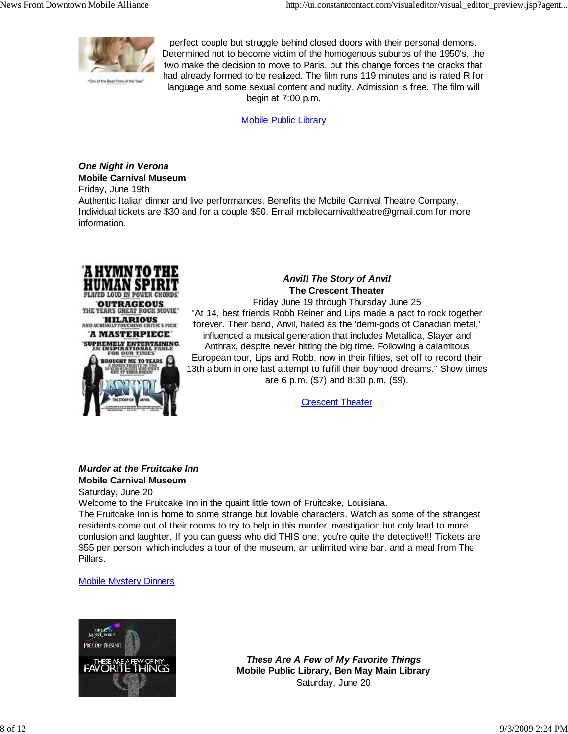

perfect couple but struggle behind closed doors with their personal demons. Determined not to become victim of the homogenous suburbs of the 1950's, the two make the decision to move to Paris, but this change forces the cracks that had already formed to be realized. The film runs 119 minutes and is rated R for language and some sexual content and nudity. Admission is free. The film will begin at 7:00 p.m.

Mobile Public Library

# *One Night in Verona* **Mobile Carnival Museum**

Friday, June 19th

Authentic Italian dinner and live performances. Benefits the Mobile Carnival Theatre Company. Individual tickets are \$30 and for a couple \$50. Email mobilecarnivaltheatre@gmail.com for more information.



# *Anvil! The Story of Anvil* **The Crescent Theater**

Friday June 19 through Thursday June 25 "At 14, best friends Robb Reiner and Lips made a pact to rock together forever. Their band, Anvil, hailed as the 'demi-gods of Canadian metal,' influenced a musical generation that includes Metallica, Slayer and Anthrax, despite never hitting the big time. Following a calamitous European tour, Lips and Robb, now in their fifties, set off to record their 13th album in one last attempt to fulfill their boyhood dreams." Show times are 6 p.m. (\$7) and 8:30 p.m. (\$9).

**Crescent Theater** 

## *Murder at the Fruitcake Inn* **Mobile Carnival Museum**

Saturday, June 20

Welcome to the Fruitcake Inn in the quaint little town of Fruitcake, Louisiana.

The Fruitcake Inn is home to some strange but lovable characters. Watch as some of the strangest residents come out of their rooms to try to help in this murder investigation but only lead to more confusion and laughter. If you can guess who did THIS one, you're quite the detective!!! Tickets are \$55 per person, which includes a tour of the museum, an unlimited wine bar, and a meal from The Pillars.

## Mobile Mystery Dinners



*These Are A Few of My Favorite Things* **Mobile Public Library, Ben May Main Library** Saturday, June 20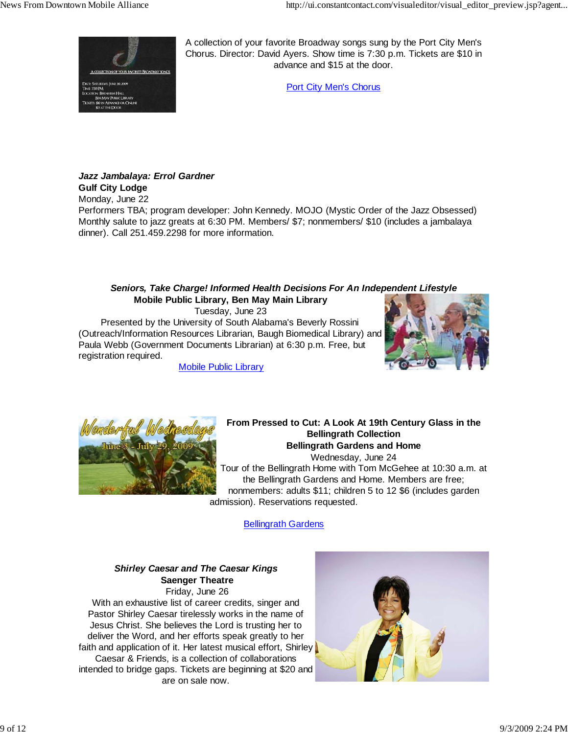

A collection of your favorite Broadway songs sung by the Port City Men's Chorus. Director: David Ayers. Show time is 7:30 p.m. Tickets are \$10 in advance and \$15 at the door.

Port City Men's Chorus

## *Jazz Jambalaya: Errol Gardner*

**Gulf City Lodge**

Monday, June 22

Performers TBA; program developer: John Kennedy. MOJO (Mystic Order of the Jazz Obsessed) Monthly salute to jazz greats at 6:30 PM. Members/ \$7; nonmembers/ \$10 (includes a jambalaya dinner). Call 251.459.2298 for more information.

## *Seniors, Take Charge! Informed Health Decisions For An Independent Lifestyle* **Mobile Public Library, Ben May Main Library**

Tuesday, June 23

 Presented by the University of South Alabama's Beverly Rossini (Outreach/Information Resources Librarian, Baugh Biomedical Library) and Paula Webb (Government Documents Librarian) at 6:30 p.m. Free, but registration required.







**From Pressed to Cut: A Look At 19th Century Glass in the Bellingrath Collection Bellingrath Gardens and Home**

Wednesday, June 24 Tour of the Bellingrath Home with Tom McGehee at 10:30 a.m. at the Bellingrath Gardens and Home. Members are free; nonmembers: adults \$11; children 5 to 12 \$6 (includes garden admission). Reservations requested.

**Bellingrath Gardens** 

## *Shirley Caesar and The Caesar Kings*  **Saenger Theatre** Friday, June 26

With an exhaustive list of career credits, singer and Pastor Shirley Caesar tirelessly works in the name of Jesus Christ. She believes the Lord is trusting her to deliver the Word, and her efforts speak greatly to her faith and application of it. Her latest musical effort, Shirley Caesar & Friends, is a collection of collaborations intended to bridge gaps. Tickets are beginning at \$20 and are on sale now.

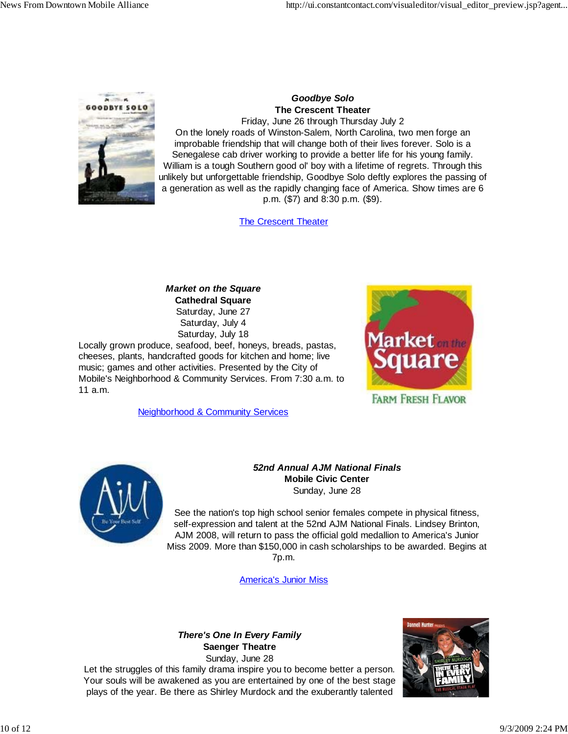

# *Goodbye Solo* **The Crescent Theater**

Friday, June 26 through Thursday July 2 On the lonely roads of Winston-Salem, North Carolina, two men forge an improbable friendship that will change both of their lives forever. Solo is a Senegalese cab driver working to provide a better life for his young family. William is a tough Southern good ol' boy with a lifetime of regrets. Through this unlikely but unforgettable friendship, Goodbye Solo deftly explores the passing of a generation as well as the rapidly changing face of America. Show times are 6 p.m. (\$7) and 8:30 p.m. (\$9).

The Crescent Theater

*Market on the Square* **Cathedral Square** Saturday, June 27 Saturday, July 4 Saturday, July 18

Locally grown produce, seafood, beef, honeys, breads, pastas, cheeses, plants, handcrafted goods for kitchen and home; live music; games and other activities. Presented by the City of Mobile's Neighborhood & Community Services. From 7:30 a.m. to 11 a.m.

Neighborhood & Community Services





## *52nd Annual AJM National Finals* **Mobile Civic Center** Sunday, June 28

See the nation's top high school senior females compete in physical fitness, self-expression and talent at the 52nd AJM National Finals. Lindsey Brinton, AJM 2008, will return to pass the official gold medallion to America's Junior Miss 2009. More than \$150,000 in cash scholarships to be awarded. Begins at 7p.m.

America's Junior Miss

# *There's One In Every Family* **Saenger Theatre**

Sunday, June 28 Let the struggles of this family drama inspire you to become better a person. Your souls will be awakened as you are entertained by one of the best stage plays of the year. Be there as Shirley Murdock and the exuberantly talented

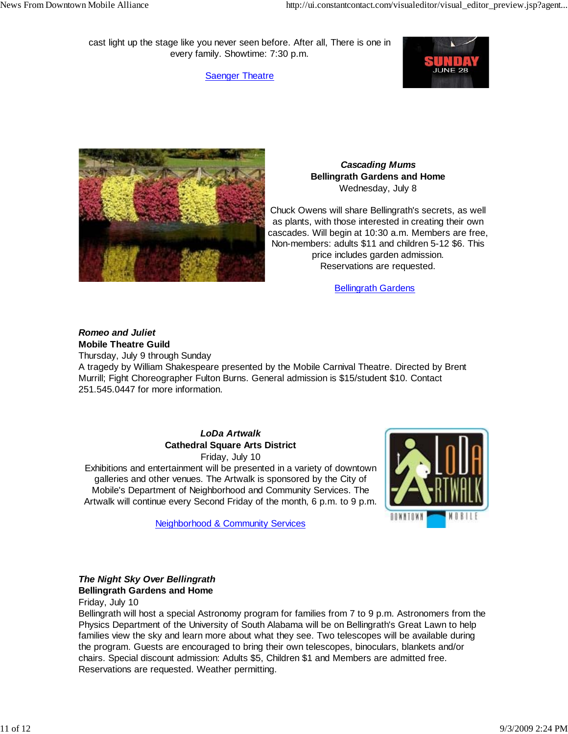cast light up the stage like you never seen before. After all, There is one in every family. Showtime: 7:30 p.m.

**Saenger Theatre** 





## *Cascading Mums* **Bellingrath Gardens and Home** Wednesday, July 8

Chuck Owens will share Bellingrath's secrets, as well as plants, with those interested in creating their own cascades. Will begin at 10:30 a.m. Members are free, Non-members: adults \$11 and children 5-12 \$6. This price includes garden admission. Reservations are requested.

Bellingrath Gardens

## *Romeo and Juliet* **Mobile Theatre Guild**

Thursday, July 9 through Sunday

A tragedy by William Shakespeare presented by the Mobile Carnival Theatre. Directed by Brent Murrill; Fight Choreographer Fulton Burns. General admission is \$15/student \$10. Contact 251.545.0447 for more information.

# *LoDa Artwalk* **Cathedral Square Arts District**

Friday, July 10

Exhibitions and entertainment will be presented in a variety of downtown galleries and other venues. The Artwalk is sponsored by the City of Mobile's Department of Neighborhood and Community Services. The Artwalk will continue every Second Friday of the month, 6 p.m. to 9 p.m.



Neighborhood & Community Services

## *The Night Sky Over Bellingrath* **Bellingrath Gardens and Home**

Friday, July 10

Bellingrath will host a special Astronomy program for families from 7 to 9 p.m. Astronomers from the Physics Department of the University of South Alabama will be on Bellingrath's Great Lawn to help families view the sky and learn more about what they see. Two telescopes will be available during the program. Guests are encouraged to bring their own telescopes, binoculars, blankets and/or chairs. Special discount admission: Adults \$5, Children \$1 and Members are admitted free. Reservations are requested. Weather permitting.